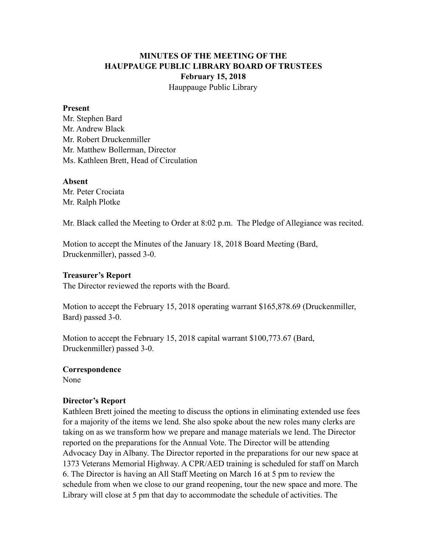# **MINUTES OF THE MEETING OF THE HAUPPAUGE PUBLIC LIBRARY BOARD OF TRUSTEES February 15, 2018** Hauppauge Public Library

#### **Present**

Mr. Stephen Bard Mr. Andrew Black Mr. Robert Druckenmiller Mr. Matthew Bollerman, Director Ms. Kathleen Brett, Head of Circulation

#### **Absent**

Mr. Peter Crociata Mr. Ralph Plotke

Mr. Black called the Meeting to Order at 8:02 p.m. The Pledge of Allegiance was recited.

Motion to accept the Minutes of the January 18, 2018 Board Meeting (Bard, Druckenmiller), passed 3-0.

#### **Treasurer's Report**

The Director reviewed the reports with the Board.

Motion to accept the February 15, 2018 operating warrant \$165,878.69 (Druckenmiller, Bard) passed 3-0.

Motion to accept the February 15, 2018 capital warrant \$100,773.67 (Bard, Druckenmiller) passed 3-0.

#### **Correspondence**

None

#### **Director's Report**

Kathleen Brett joined the meeting to discuss the options in eliminating extended use fees for a majority of the items we lend. She also spoke about the new roles many clerks are taking on as we transform how we prepare and manage materials we lend. The Director reported on the preparations for the Annual Vote. The Director will be attending Advocacy Day in Albany. The Director reported in the preparations for our new space at 1373 Veterans Memorial Highway. A CPR/AED training is scheduled for staff on March 6. The Director is having an All Staff Meeting on March 16 at 5 pm to review the schedule from when we close to our grand reopening, tour the new space and more. The Library will close at 5 pm that day to accommodate the schedule of activities. The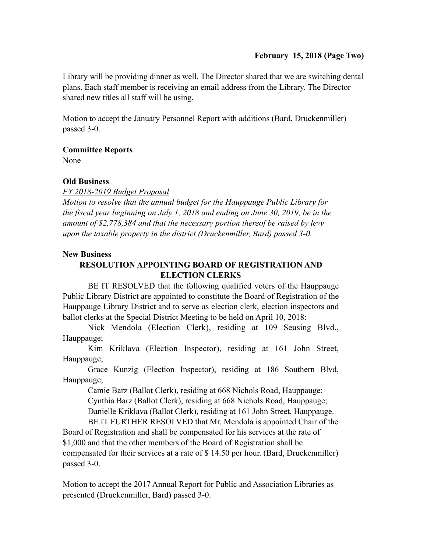Library will be providing dinner as well. The Director shared that we are switching dental plans. Each staff member is receiving an email address from the Library. The Director shared new titles all staff will be using.

Motion to accept the January Personnel Report with additions (Bard, Druckenmiller) passed 3-0.

## **Committee Reports**

None

## **Old Business**

*FY 2018-2019 Budget Proposal* 

*Motion to resolve that the annual budget for the Hauppauge Public Library for the fiscal year beginning on July 1, 2018 and ending on June 30, 2019, be in the amount of \$2,778,384 and that the necessary portion thereof be raised by levy upon the taxable property in the district (Druckenmiller, Bard) passed 3-0.*

## **New Business**

# **RESOLUTION APPOINTING BOARD OF REGISTRATION AND ELECTION CLERKS**

 BE IT RESOLVED that the following qualified voters of the Hauppauge Public Library District are appointed to constitute the Board of Registration of the Hauppauge Library District and to serve as election clerk, election inspectors and ballot clerks at the Special District Meeting to be held on April 10, 2018:

 Nick Mendola (Election Clerk), residing at 109 Seusing Blvd., Hauppauge;

 Kim Kriklava (Election Inspector), residing at 161 John Street, Hauppauge;

 Grace Kunzig (Election Inspector), residing at 186 Southern Blvd, Hauppauge;

Camie Barz (Ballot Clerk), residing at 668 Nichols Road, Hauppauge;

Cynthia Barz (Ballot Clerk), residing at 668 Nichols Road, Hauppauge;

Danielle Kriklava (Ballot Clerk), residing at 161 John Street, Hauppauge.

 BE IT FURTHER RESOLVED that Mr. Mendola is appointed Chair of the Board of Registration and shall be compensated for his services at the rate of \$1,000 and that the other members of the Board of Registration shall be compensated for their services at a rate of \$ 14.50 per hour. (Bard, Druckenmiller) passed 3-0.

Motion to accept the 2017 Annual Report for Public and Association Libraries as presented (Druckenmiller, Bard) passed 3-0.